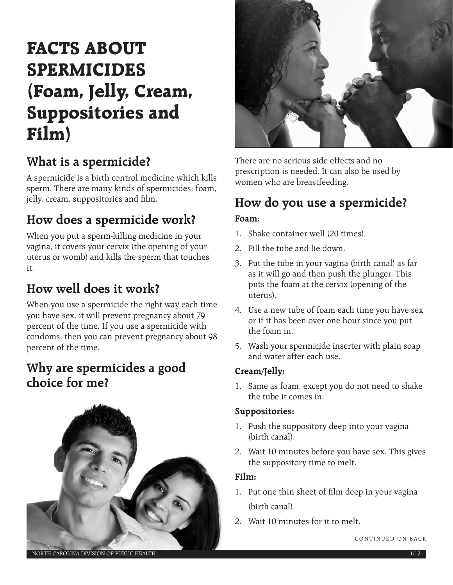# **FACTS ABOUT SPERMICIDES (Foam, Jelly, Cream, Suppositories and Film)**

# **What is a spermicide?**

A spermicide is a birth control medicine which kills sperm. There are many kinds of spermicides: foam, jelly, cream, suppositories and film.

# **How does a spermicide work?**

When you put a sperm-killing medicine in your vagina, it covers your cervix (the opening of your uterus or womb) and kills the sperm that touches it.

# **How well does it work?**

When you use a spermicide the right way each time you have sex, it will prevent pregnancy about 79 percent of the time. If you use a spermicide with condoms, then you can prevent pregnancy about 98 percent of the time.

## **Why are spermicides a good choice for me?**





There are no serious side effects and no prescription is needed. It can also be used by women who are breastfeeding.

# **How do you use a spermicide?**

#### **Foam:**

- 1. Shake container well (20 times).
- 2. Fill the tube and lie down.
- 3. Put the tube in your vagina (birth canal) as far as it will go and then push the plunger. This puts the foam at the cervix (opening of the uterus).
- 4. Use a new tube of foam each time you have sex or if it has been over one hour since you put the foam in.
- 5. Wash your spermicide inserter with plain soap and water after each use.

#### **Cream/Jelly:**

1. Same as foam, except you do not need to shake the tube it comes in.

#### **Suppositories:**

- 1. Push the suppository deep into your vagina (birth canal).
- 2. Wait 10 minutes before you have sex. This gives the suppository time to melt.

#### **Film:**

- 1. Put one thin sheet of film deep in your vagina (birth canal).
- 2. Wait 10 minutes for it to melt.

NORTH CAROLINA DIVISION OF PUBLIC HEALTH 1/12